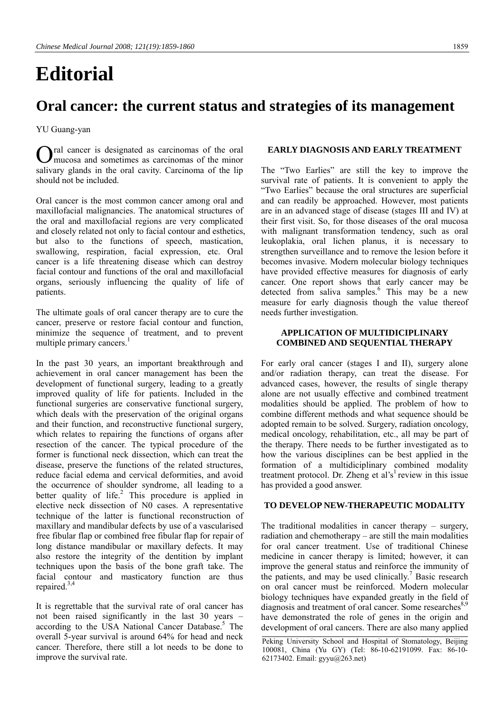# **Editorial**

## **Oral cancer: the current status and strategies of its management**

YU Guang-yan

Oral cancer is designated as carcinomas of the oral mucosa and sometimes as carcinomas of the minor mucosa and sometimes as carcinomas of the minor salivary glands in the oral cavity. Carcinoma of the lip should not be included.

Oral cancer is the most common cancer among oral and maxillofacial malignancies. The anatomical structures of the oral and maxillofacial regions are very complicated and closely related not only to facial contour and esthetics, but also to the functions of speech, mastication, swallowing, respiration, facial expression, etc. Oral cancer is a life threatening disease which can destroy facial contour and functions of the oral and maxillofacial organs, seriously influencing the quality of life of patients.

The ultimate goals of oral cancer therapy are to cure the cancer, preserve or restore facial contour and function, minimize the sequence of treatment, and to prevent multiple primary cancers.

In the past 30 years, an important breakthrough and achievement in oral cancer management has been the development of functional surgery, leading to a greatly improved quality of life for patients. Included in the functional surgeries are conservative functional surgery, which deals with the preservation of the original organs and their function, and reconstructive functional surgery, which relates to repairing the functions of organs after resection of the cancer. The typical procedure of the former is functional neck dissection, which can treat the disease, preserve the functions of the related structures, reduce facial edema and cervical deformities, and avoid the occurrence of shoulder syndrome, all leading to a better quality of life.<sup>2</sup> This procedure is applied in elective neck dissection of N0 cases. A representative technique of the latter is functional reconstruction of maxillary and mandibular defects by use of a vascularised free fibular flap or combined free fibular flap for repair of long distance mandibular or maxillary defects. It may also restore the integrity of the dentition by implant techniques upon the basis of the bone graft take. The facial contour and masticatory function are thus repaired.3,4

It is regrettable that the survival rate of oral cancer has not been raised significantly in the last 30 years – according to the USA National Cancer Database.<sup>5</sup> The overall 5-year survival is around 64% for head and neck cancer. Therefore, there still a lot needs to be done to improve the survival rate.

#### **EARLY DIAGNOSIS AND EARLY TREATMENT**

The "Two Earlies" are still the key to improve the survival rate of patients. It is convenient to apply the "Two Earlies" because the oral structures are superficial and can readily be approached. However, most patients are in an advanced stage of disease (stages III and IV) at their first visit. So, for those diseases of the oral mucosa with malignant transformation tendency, such as oral leukoplakia, oral lichen planus, it is necessary to strengthen surveillance and to remove the lesion before it becomes invasive. Modern molecular biology techniques have provided effective measures for diagnosis of early cancer. One report shows that early cancer may be detected from saliva samples.<sup>6</sup> This may be a new measure for early diagnosis though the value thereof needs further investigation.

#### **APPLICATION OF MULTIDICIPLINARY COMBINED AND SEQUENTIAL THERAPY**

For early oral cancer (stages I and II), surgery alone and/or radiation therapy, can treat the disease. For advanced cases, however, the results of single therapy alone are not usually effective and combined treatment modalities should be applied. The problem of how to combine different methods and what sequence should be adopted remain to be solved. Surgery, radiation oncology, medical oncology, rehabilitation, etc., all may be part of the therapy. There needs to be further investigated as to how the various disciplines can be best applied in the formation of a multidiciplinary combined modality treatment protocol. Dr. Zheng et al's<sup>1</sup> review in this issue has provided a good answer.

### **TO DEVELOP NEW-THERAPEUTIC MODALITY**

The traditional modalities in cancer therapy – surgery, radiation and chemotherapy – are still the main modalities for oral cancer treatment. Use of traditional Chinese medicine in cancer therapy is limited; however, it can improve the general status and reinforce the immunity of the patients, and may be used clinically.<sup>7</sup> Basic research on oral cancer must be reinforced. Modern molecular biology techniques have expanded greatly in the field of diagnosis and treatment of oral cancer. Some researches<sup>8,9</sup> have demonstrated the role of genes in the origin and development of oral cancers. There are also many applied

Peking University School and Hospital of Stomatology, Beijing 100081, China (Yu GY) (Tel: 86-10-62191099. Fax: 86-10- 62173402. Email: gyyu@263.net)